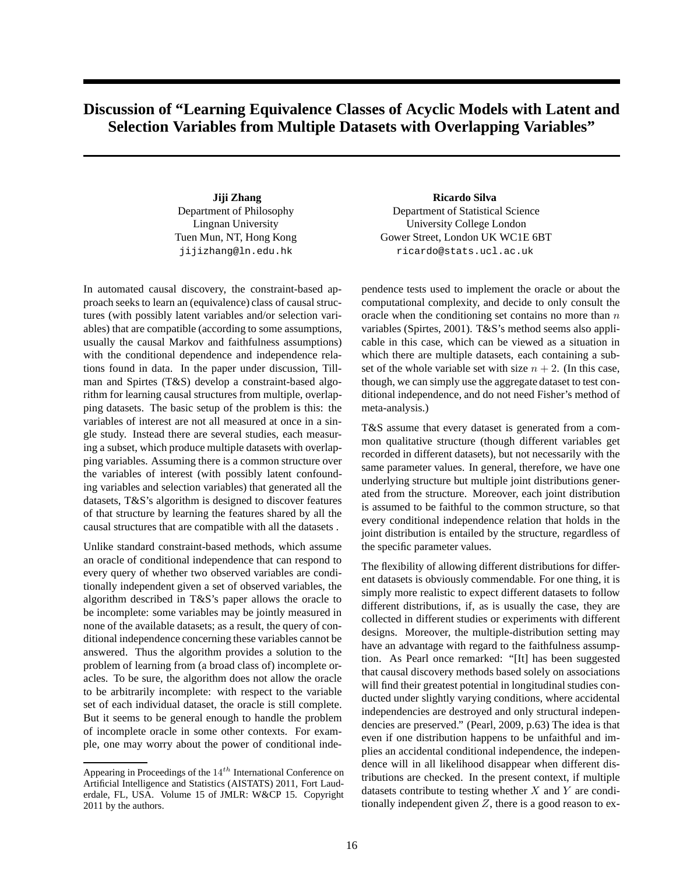## **Discussion of "Learning Equivalence Classes of Acyclic Models with Latent and Selection Variables from Multiple Datasets with Overlapping Variables"**

Department of Philosophy Lingnan University Tuen Mun, NT, Hong Kong jijizhang@ln.edu.hk

In automated causal discovery, the constraint-based approach seeks to learn an (equivalence) class of causal structures (with possibly latent variables and/or selection variables) that are compatible (according to some assumptions, usually the causal Markov and faithfulness assumptions) with the conditional dependence and independence relations found in data. In the paper under discussion, Tillman and Spirtes (T&S) develop a constraint-based algorithm for learning causal structures from multiple, overlapping datasets. The basic setup of the problem is this: the variables of interest are not all measured at once in a single study. Instead there are several studies, each measuring a subset, which produce multiple datasets with overlapping variables. Assuming there is a common structure over the variables of interest (with possibly latent confounding variables and selection variables) that generated all the datasets, T&S's algorithm is designed to discover features of that structure by learning the features shared by all the causal structures that are compatible with all the datasets .

Unlike standard constraint-based methods, which assume an oracle of conditional independence that can respond to every query of whether two observed variables are conditionally independent given a set of observed variables, the algorithm described in T&S's paper allows the oracle to be incomplete: some variables may be jointly measured in none of the available datasets; as a result, the query of conditional independence concerning these variables cannot be answered. Thus the algorithm provides a solution to the problem of learning from (a broad class of) incomplete oracles. To be sure, the algorithm does not allow the oracle to be arbitrarily incomplete: with respect to the variable set of each individual dataset, the oracle is still complete. But it seems to be general enough to handle the problem of incomplete oracle in some other contexts. For example, one may worry about the power of conditional inde-

**Jiji Zhang Ricardo Silva** Department of Statistical Science University College London Gower Street, London UK WC1E 6BT ricardo@stats.ucl.ac.uk

> pendence tests used to implement the oracle or about the computational complexity, and decide to only consult the oracle when the conditioning set contains no more than  $n$ variables (Spirtes, 2001). T&S's method seems also applicable in this case, which can be viewed as a situation in which there are multiple datasets, each containing a subset of the whole variable set with size  $n + 2$ . (In this case, though, we can simply use the aggregate dataset to test conditional independence, and do not need Fisher's method of meta-analysis.)

> T&S assume that every dataset is generated from a common qualitative structure (though different variables get recorded in different datasets), but not necessarily with the same parameter values. In general, therefore, we have one underlying structure but multiple joint distributions generated from the structure. Moreover, each joint distribution is assumed to be faithful to the common structure, so that every conditional independence relation that holds in the joint distribution is entailed by the structure, regardless of the specific parameter values.

> The flexibility of allowing different distributions for different datasets is obviously commendable. For one thing, it is simply more realistic to expect different datasets to follow different distributions, if, as is usually the case, they are collected in different studies or experiments with different designs. Moreover, the multiple-distribution setting may have an advantage with regard to the faithfulness assumption. As Pearl once remarked: "[It] has been suggested that causal discovery methods based solely on associations will find their greatest potential in longitudinal studies conducted under slightly varying conditions, where accidental independencies are destroyed and only structural independencies are preserved." (Pearl, 2009, p.63) The idea is that even if one distribution happens to be unfaithful and implies an accidental conditional independence, the independence will in all likelihood disappear when different distributions are checked. In the present context, if multiple datasets contribute to testing whether  $X$  and  $Y$  are conditionally independent given  $Z$ , there is a good reason to ex-

Appearing in Proceedings of the  $14^{th}$  International Conference on Artificial Intelligence and Statistics (AISTATS) 2011, Fort Lauderdale, FL, USA. Volume 15 of JMLR: W&CP 15. Copyright 2011 by the authors.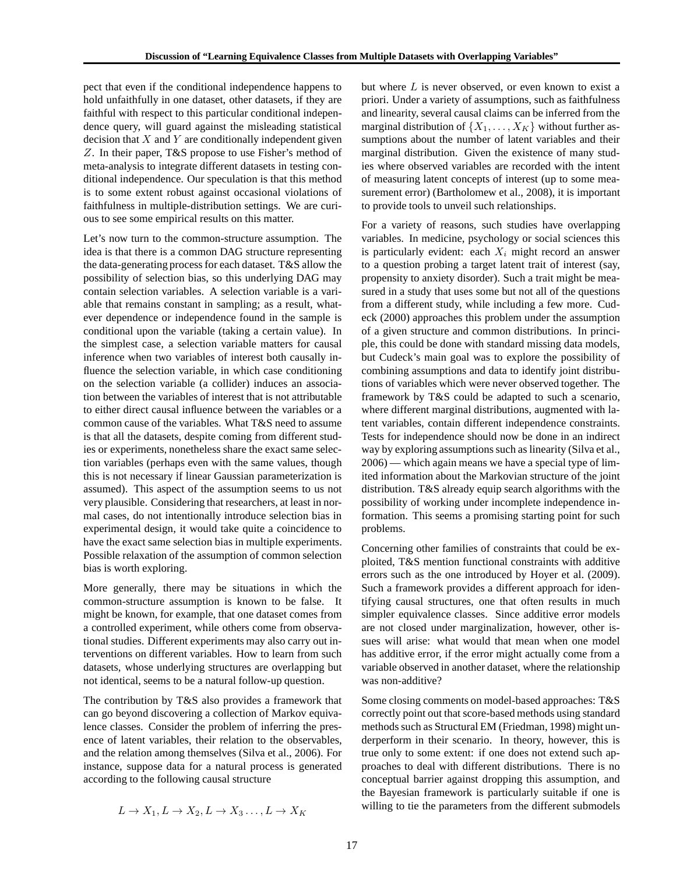pect that even if the conditional independence happens to hold unfaithfully in one dataset, other datasets, if they are faithful with respect to this particular conditional independence query, will guard against the misleading statistical decision that  $X$  and  $Y$  are conditionally independent given Z. In their paper, T&S propose to use Fisher's method of meta-analysis to integrate different datasets in testing conditional independence. Our speculation is that this method is to some extent robust against occasional violations of faithfulness in multiple-distribution settings. We are curious to see some empirical results on this matter.

Let's now turn to the common-structure assumption. The idea is that there is a common DAG structure representing the data-generating process for each dataset. T&S allow the possibility of selection bias, so this underlying DAG may contain selection variables. A selection variable is a variable that remains constant in sampling; as a result, whatever dependence or independence found in the sample is conditional upon the variable (taking a certain value). In the simplest case, a selection variable matters for causal inference when two variables of interest both causally influence the selection variable, in which case conditioning on the selection variable (a collider) induces an association between the variables of interest that is not attributable to either direct causal influence between the variables or a common cause of the variables. What T&S need to assume is that all the datasets, despite coming from different studies or experiments, nonetheless share the exact same selection variables (perhaps even with the same values, though this is not necessary if linear Gaussian parameterization is assumed). This aspect of the assumption seems to us not very plausible. Considering that researchers, at least in normal cases, do not intentionally introduce selection bias in experimental design, it would take quite a coincidence to have the exact same selection bias in multiple experiments. Possible relaxation of the assumption of common selection bias is worth exploring.

More generally, there may be situations in which the common-structure assumption is known to be false. It might be known, for example, that one dataset comes from a controlled experiment, while others come from observational studies. Different experiments may also carry out interventions on different variables. How to learn from such datasets, whose underlying structures are overlapping but not identical, seems to be a natural follow-up question.

The contribution by T&S also provides a framework that can go beyond discovering a collection of Markov equivalence classes. Consider the problem of inferring the presence of latent variables, their relation to the observables, and the relation among themselves (Silva et al., 2006). For instance, suppose data for a natural process is generated according to the following causal structure

$$
L \to X_1, L \to X_2, L \to X_3 \dots, L \to X_K
$$

but where  $L$  is never observed, or even known to exist a priori. Under a variety of assumptions, such as faithfulness and linearity, several causal claims can be inferred from the marginal distribution of  $\{X_1, \ldots, X_K\}$  without further assumptions about the number of latent variables and their marginal distribution. Given the existence of many studies where observed variables are recorded with the intent of measuring latent concepts of interest (up to some measurement error) (Bartholomew et al., 2008), it is important to provide tools to unveil such relationships.

For a variety of reasons, such studies have overlapping variables. In medicine, psychology or social sciences this is particularly evident: each  $X_i$  might record an answer to a question probing a target latent trait of interest (say, propensity to anxiety disorder). Such a trait might be measured in a study that uses some but not all of the questions from a different study, while including a few more. Cudeck (2000) approaches this problem under the assumption of a given structure and common distributions. In principle, this could be done with standard missing data models, but Cudeck's main goal was to explore the possibility of combining assumptions and data to identify joint distributions of variables which were never observed together. The framework by T&S could be adapted to such a scenario, where different marginal distributions, augmented with latent variables, contain different independence constraints. Tests for independence should now be done in an indirect way by exploring assumptions such as linearity (Silva et al., 2006) — which again means we have a special type of limited information about the Markovian structure of the joint distribution. T&S already equip search algorithms with the possibility of working under incomplete independence information. This seems a promising starting point for such problems.

Concerning other families of constraints that could be exploited, T&S mention functional constraints with additive errors such as the one introduced by Hoyer et al. (2009). Such a framework provides a different approach for identifying causal structures, one that often results in much simpler equivalence classes. Since additive error models are not closed under marginalization, however, other issues will arise: what would that mean when one model has additive error, if the error might actually come from a variable observed in another dataset, where the relationship was non-additive?

Some closing comments on model-based approaches: T&S correctly point out that score-based methods using standard methods such as Structural EM (Friedman, 1998) might underperform in their scenario. In theory, however, this is true only to some extent: if one does not extend such approaches to deal with different distributions. There is no conceptual barrier against dropping this assumption, and the Bayesian framework is particularly suitable if one is willing to tie the parameters from the different submodels